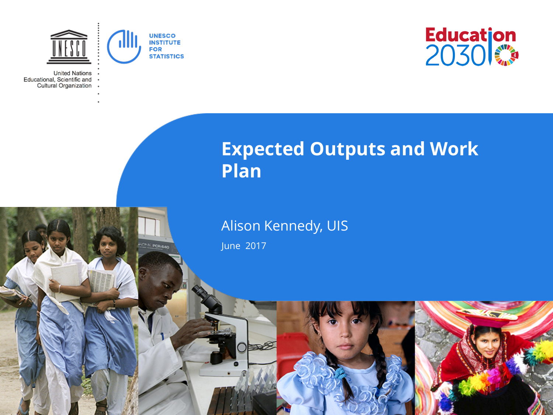

**CAS POR BAN** 

**United Nations** Educational, Scientific and Cultural Organization



## **Expected Outputs and Work Plan**

## Alison Kennedy, UIS

June 2017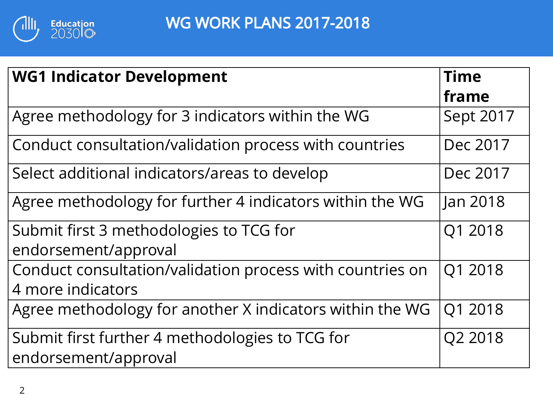

| <b>WG1 Indicator Development</b>                          | <b>Time</b> |
|-----------------------------------------------------------|-------------|
|                                                           | frame       |
| Agree methodology for 3 indicators within the WG          | Sept 2017   |
| Conduct consultation/validation process with countries    | Dec 2017    |
| Select additional indicators/areas to develop             | Dec 2017    |
| Agree methodology for further 4 indicators within the WG  | Jan 2018    |
| Submit first 3 methodologies to TCG for                   | Q1 2018     |
| endorsement/approval                                      |             |
| Conduct consultation/validation process with countries on | Q1 2018     |
| 4 more indicators                                         |             |
| Agree methodology for another X indicators within the WG  | Q1 2018     |
| Submit first further 4 methodologies to TCG for           | Q2 2018     |
| endorsement/approval                                      |             |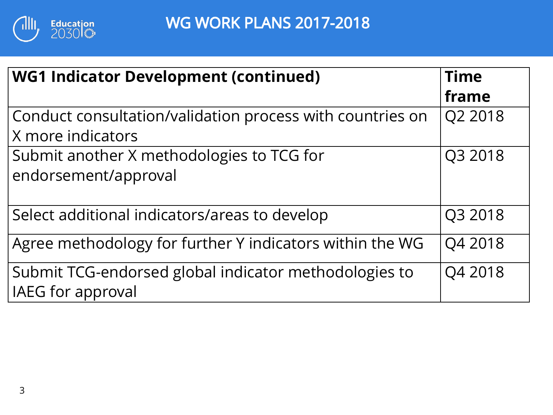

| <b>WG1 Indicator Development (continued)</b>              | <b>Time</b> |  |  |
|-----------------------------------------------------------|-------------|--|--|
|                                                           | frame       |  |  |
| Conduct consultation/validation process with countries on | Q2 2018     |  |  |
| X more indicators                                         |             |  |  |
| Submit another X methodologies to TCG for                 | Q3 2018     |  |  |
| endorsement/approval                                      |             |  |  |
|                                                           |             |  |  |
| Select additional indicators/areas to develop             | Q3 2018     |  |  |
| Agree methodology for further Y indicators within the WG  | Q4 2018     |  |  |
| Submit TCG-endorsed global indicator methodologies to     | Q4 2018     |  |  |
| IAEG for approval                                         |             |  |  |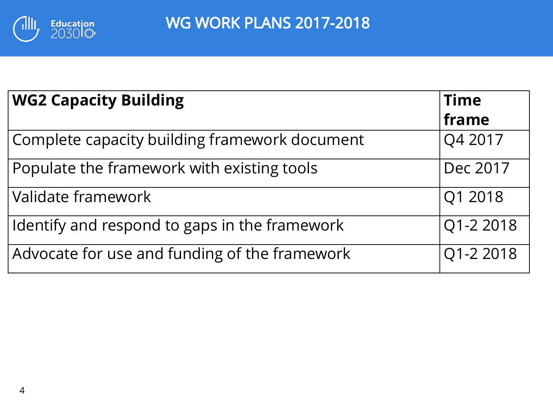

| <b>WG2 Capacity Building</b>                  | <b>Time</b> |
|-----------------------------------------------|-------------|
|                                               | frame       |
| Complete capacity building framework document | Q4 2017     |
| Populate the framework with existing tools    | Dec 2017    |
| Validate framework                            | Q1 2018     |
| Identify and respond to gaps in the framework | Q1-2 2018   |
| Advocate for use and funding of the framework | Q1-2 2018   |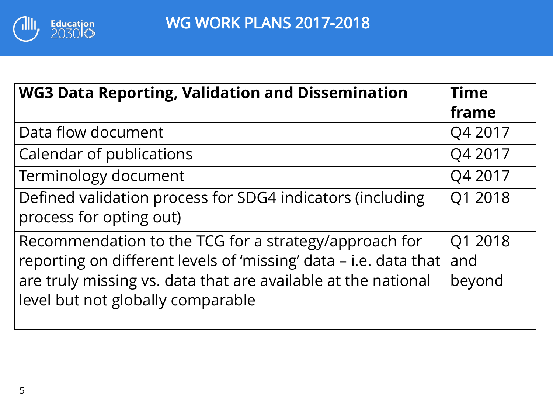

| <b>WG3 Data Reporting, Validation and Dissemination</b>          | <b>Time</b> |  |  |
|------------------------------------------------------------------|-------------|--|--|
|                                                                  | frame       |  |  |
| Data flow document                                               | Q4 2017     |  |  |
| Calendar of publications                                         | Q4 2017     |  |  |
| Terminology document                                             | Q4 2017     |  |  |
| Defined validation process for SDG4 indicators (including        | Q1 2018     |  |  |
| process for opting out)                                          |             |  |  |
| Recommendation to the TCG for a strategy/approach for            | Q1 2018     |  |  |
| reporting on different levels of 'missing' data – i.e. data that | and         |  |  |
| are truly missing vs. data that are available at the national    | beyond      |  |  |
| level but not globally comparable                                |             |  |  |
|                                                                  |             |  |  |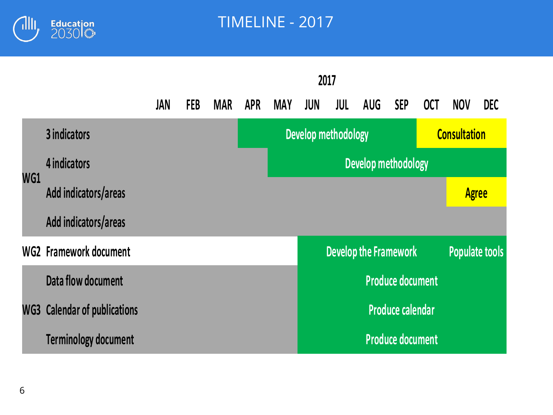

TIMELINE - 2017

|     |                                     | 2017                |            |            |            |            |                            |                              |     |                         |                     |              |                       |
|-----|-------------------------------------|---------------------|------------|------------|------------|------------|----------------------------|------------------------------|-----|-------------------------|---------------------|--------------|-----------------------|
|     |                                     | <b>JAN</b>          | <b>FEB</b> | <b>MAR</b> | <b>APR</b> | <b>MAY</b> | <b>JUN</b>                 | <b>JUL</b>                   | AUG | <b>SEP</b>              | <b>OCT</b>          | <b>NOV</b>   | <b>DEC</b>            |
|     | 3 indicators                        |                     |            |            |            |            | <b>Develop methodology</b> |                              |     |                         | <b>Consultation</b> |              |                       |
|     | 4 indicators                        | Develop methodology |            |            |            |            |                            |                              |     |                         |                     |              |                       |
| WG1 | Add indicators/areas                |                     |            |            |            |            |                            |                              |     |                         |                     | <b>Agree</b> |                       |
|     | Add indicators/areas                |                     |            |            |            |            |                            |                              |     |                         |                     |              |                       |
|     | WG2 Framework document              |                     |            |            |            |            |                            | <b>Develop the Framework</b> |     |                         |                     |              | <b>Populate tools</b> |
|     | Data flow document                  |                     |            |            |            |            |                            |                              |     | <b>Produce document</b> |                     |              |                       |
|     | <b>WG3 Calendar of publications</b> |                     |            |            |            |            |                            |                              |     | <b>Produce calendar</b> |                     |              |                       |
|     | <b>Terminology document</b>         |                     |            |            |            |            |                            |                              |     | <b>Produce document</b> |                     |              |                       |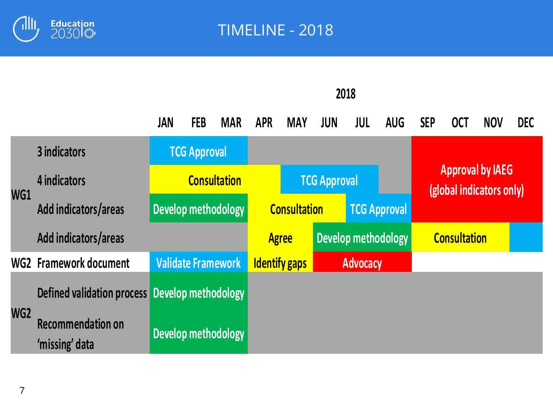

|     |                                                | JAN | <b>FEB</b>          | <b>MAR</b>                | <b>APR</b> | <b>MAY</b>                                 | <b>JUN</b>          | JUL                 | <b>AUG</b>                                          | <b>SEP</b> | <b>OCT</b> | <b>NOV</b> | <b>DEC</b> |
|-----|------------------------------------------------|-----|---------------------|---------------------------|------------|--------------------------------------------|---------------------|---------------------|-----------------------------------------------------|------------|------------|------------|------------|
| WG1 | 3 indicators                                   |     | <b>TCG Approval</b> |                           |            |                                            |                     |                     |                                                     |            |            |            |            |
|     | 4 indicators                                   |     |                     | <b>Consultation</b>       |            |                                            | <b>TCG Approval</b> |                     | <b>Approval by IAEG</b><br>(global indicators only) |            |            |            |            |
|     | Add indicators/areas                           |     |                     | Develop methodology       |            | <b>Consultation</b><br><b>TCG Approval</b> |                     |                     |                                                     |            |            |            |            |
|     | Add indicators/areas                           |     | <b>Agree</b>        | Develop methodology       |            |                                            |                     | <b>Consultation</b> |                                                     |            |            |            |            |
|     | WG2 Framework document                         |     |                     | <b>Validate Framework</b> |            | <b>Identify gaps</b>                       | <b>Advocacy</b>     |                     |                                                     |            |            |            |            |
| WG2 | Defined validation process Develop methodology |     |                     |                           |            |                                            |                     |                     |                                                     |            |            |            |            |
|     | <b>Recommendation on</b><br>'missing' data     |     |                     | Develop methodology       |            |                                            |                     |                     |                                                     |            |            |            |            |

**2018**